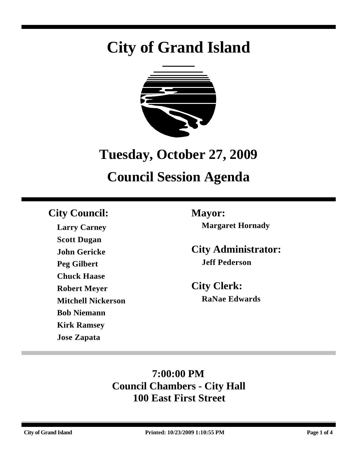# **City of Grand Island**



## **Tuesday, October 27, 2009**

## **Council Session Agenda**

### **City Council: Mayor:**

**Larry Carney Scott Dugan John Gericke Peg Gilbert Chuck Haase Robert Meyer Mitchell Nickerson Bob Niemann Kirk Ramsey Jose Zapata**

**Margaret Hornady**

**City Administrator: Jeff Pederson**

**City Clerk: RaNae Edwards**

## **7:00:00 PM Council Chambers - City Hall 100 East First Street**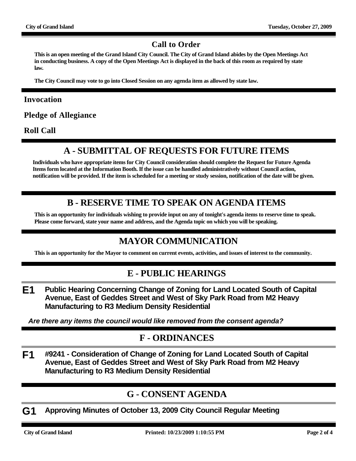#### **Call to Order**

**This is an open meeting of the Grand Island City Council. The City of Grand Island abides by the Open Meetings Act in conducting business. A copy of the Open Meetings Act is displayed in the back of this room as required by state law.**

**The City Council may vote to go into Closed Session on any agenda item as allowed by state law.**

#### **Invocation**

**Pledge of Allegiance**

**Roll Call**

#### **A - SUBMITTAL OF REQUESTS FOR FUTURE ITEMS**

**Individuals who have appropriate items for City Council consideration should complete the Request for Future Agenda Items form located at the Information Booth. If the issue can be handled administratively without Council action, notification will be provided. If the item is scheduled for a meeting or study session, notification of the date will be given.**

#### **B - RESERVE TIME TO SPEAK ON AGENDA ITEMS**

**This is an opportunity for individuals wishing to provide input on any of tonight's agenda items to reserve time to speak. Please come forward, state your name and address, and the Agenda topic on which you will be speaking.**

#### **MAYOR COMMUNICATION**

**This is an opportunity for the Mayor to comment on current events, activities, and issues of interest to the community.**

#### **E - PUBLIC HEARINGS**

**E1 Public Hearing Concerning Change of Zoning for Land Located South of Capital Avenue, East of Geddes Street and West of Sky Park Road from M2 Heavy Manufacturing to R3 Medium Density Residential**

*Are there any items the council would like removed from the consent agenda?*

#### **F - ORDINANCES**

**F1 #9241 - Consideration of Change of Zoning for Land Located South of Capital Avenue, East of Geddes Street and West of Sky Park Road from M2 Heavy Manufacturing to R3 Medium Density Residential**

#### **G - CONSENT AGENDA**

**G1 Approving Minutes of October 13, 2009 City Council Regular Meeting**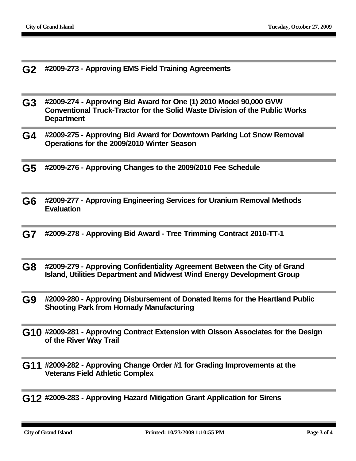- **G2 #2009-273 Approving EMS Field Training Agreements**
- **G3 #2009-274 Approving Bid Award for One (1) 2010 Model 90,000 GVW Conventional Truck-Tractor for the Solid Waste Division of the Public Works Department**
- **G4 #2009-275 Approving Bid Award for Downtown Parking Lot Snow Removal Operations for the 2009/2010 Winter Season**
- **G5 #2009-276 Approving Changes to the 2009/2010 Fee Schedule**
- **G6 #2009-277 Approving Engineering Services for Uranium Removal Methods Evaluation**
- **G7 #2009-278 Approving Bid Award Tree Trimming Contract 2010-TT-1**
- **G8 #2009-279 Approving Confidentiality Agreement Between the City of Grand Island, Utilities Department and Midwest Wind Energy Development Group**
- **G9 #2009-280 Approving Disbursement of Donated Items for the Heartland Public Shooting Park from Hornady Manufacturing**
- **G10 #2009-281 Approving Contract Extension with Olsson Associates for the Design of the River Way Trail**
- **G11 #2009-282 Approving Change Order #1 for Grading Improvements at the Veterans Field Athletic Complex**
- **G12 #2009-283 Approving Hazard Mitigation Grant Application for Sirens**